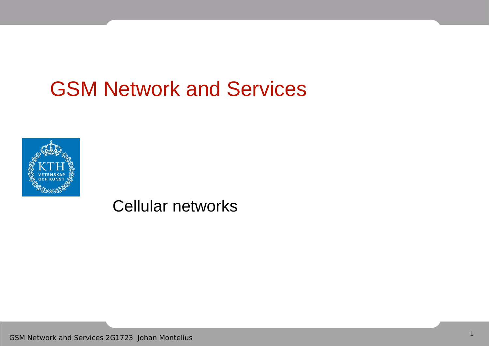### GSM Network and Services



Cellular networks

GSM Network and Services 2G1723 Johan Montelius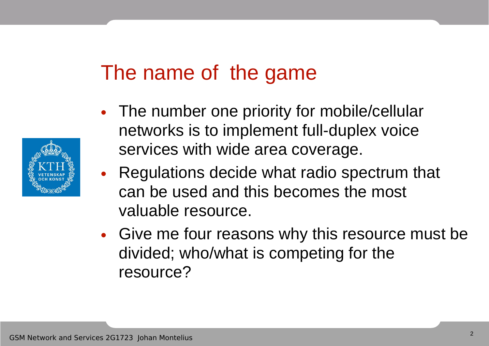### The name of the game

- The number one priority for mobile/cellular networks is to implement full-duplex voice services with wide area coverage.
- Regulations decide what radio spectrum that can be used and this becomes the most valuable resource.
- Give me four reasons why this resource must be divided; who/what is competing for the resource?

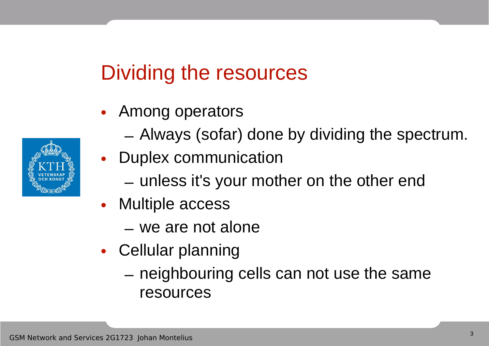## Dividing the resources

- Among operators
	- Always (sofar) done by dividing the spectrum.
- Duplex communication
	- unless it's your mother on the other end
- Multiple access
	- we are not alone
- Cellular planning
	- neighbouring cells can not use the same resources

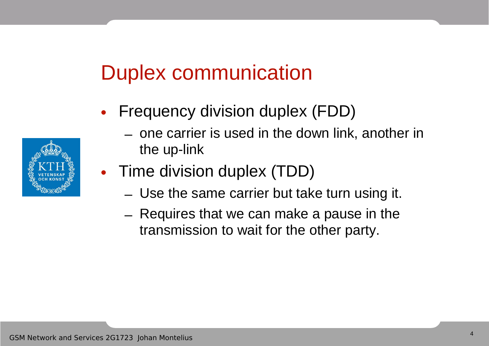### Duplex communication

- Frequency division duplex (FDD)
	- one carrier is used in the down link, another in the up-link
- Time division duplex (TDD)
	- Use the same carrier but take turn using it.
	- Requires that we can make a pause in the transmission to wait for the other party.

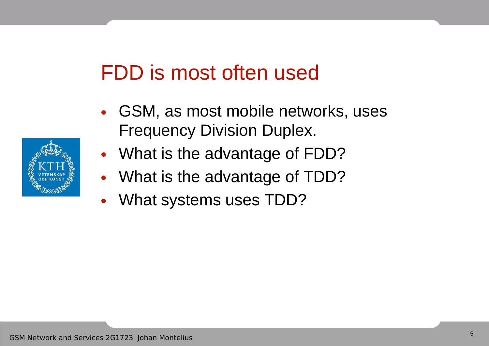### FDD is most often used

- GSM, as most mobile networks, uses Frequency Division Duplex.
- What is the advantage of FDD?
- What is the advantage of TDD?
- What systems uses TDD?

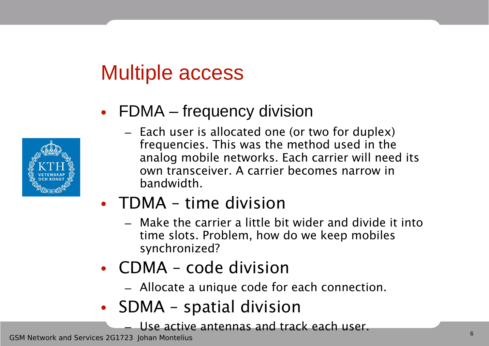### Multiple access



#### • FDMA – frequency division

– Each user is allocated one (or two for duplex) frequencies. This was the method used in the analog mobile networks. Each carrier will need its own transceiver. A carrier becomes narrow in bandwidth.

### • TDMA – time division

- Make the carrier a little bit wider and divide it into time slots. Problem, how do we keep mobiles synchronized?
- CDMA code division
	- Allocate a unique code for each connection.
- SDMA spatial division
	- Use active antennas and track each user.

GSM Network and Services 2G1723 Johan Montelius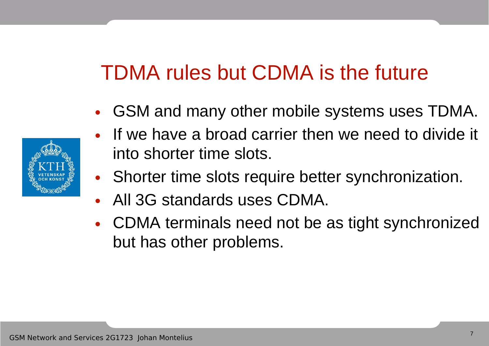# TDMA rules but CDMA is the future

- GSM and many other mobile systems uses TDMA.
- If we have a broad carrier then we need to divide it into shorter time slots.
- Shorter time slots require better synchronization.
- All 3G standards uses CDMA.
- CDMA terminals need not be as tight synchronized but has other problems.

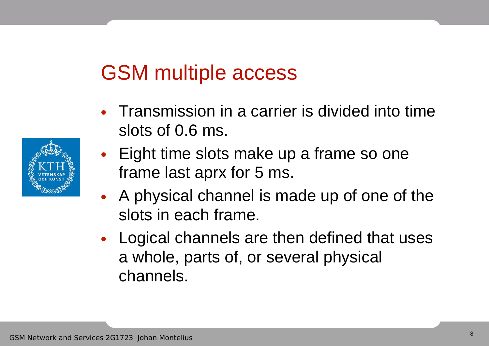### GSM multiple access

- Transmission in a carrier is divided into time slots of 0.6 ms.
- Eight time slots make up a frame so one frame last aprx for 5 ms.
- A physical channel is made up of one of the slots in each frame.
- Logical channels are then defined that uses a whole, parts of, or several physical channels.

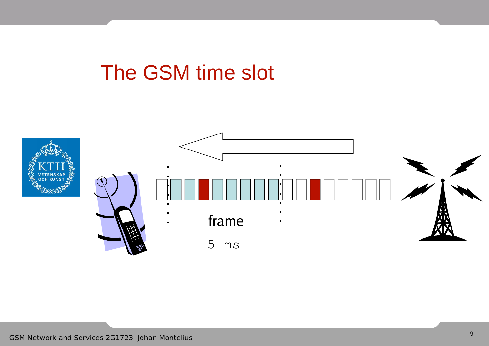### The GSM time slot

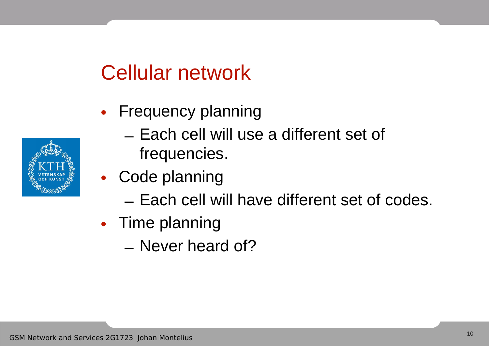### Cellular network

- Frequency planning
	- Each cell will use a different set of frequencies.
- Code planning
	- Each cell will have different set of codes.
- Time planning
	- Never heard of?

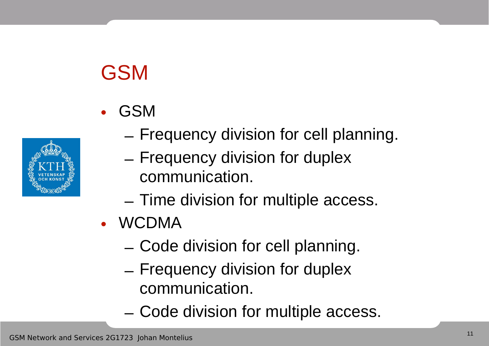# GSM





- Frequency division for cell planning.
- Frequency division for duplex communication.
- Time division for multiple access.
- WCDMA
	- Code division for cell planning.
	- Frequency division for duplex communication.
	- Code division for multiple access.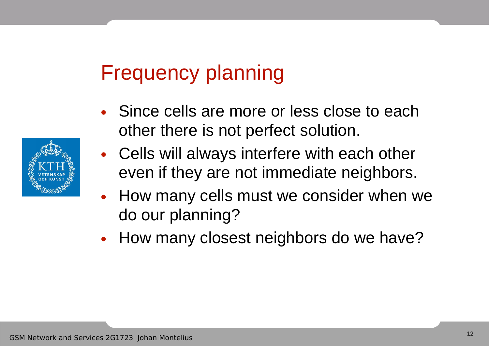### Frequency planning

- Since cells are more or less close to each other there is not perfect solution.
- Cells will always interfere with each other even if they are not immediate neighbors.
- How many cells must we consider when we do our planning?
- How many closest neighbors do we have?

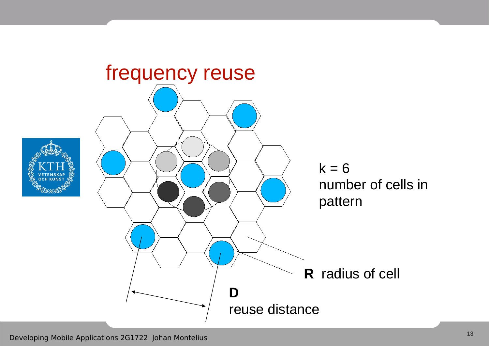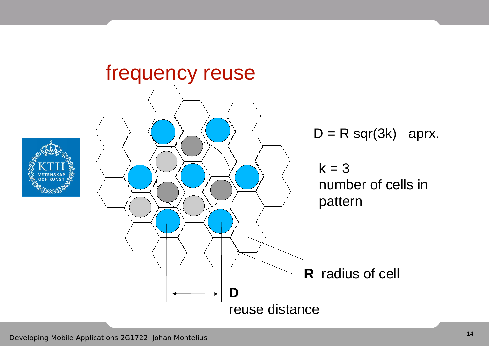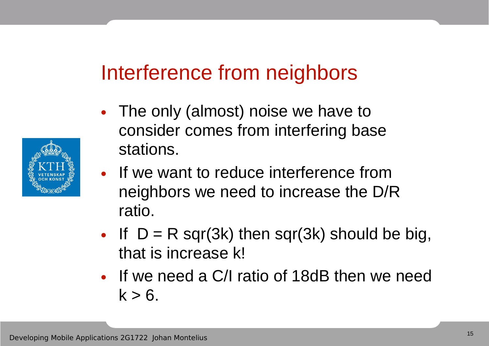### Interference from neighbors

- The only (almost) noise we have to consider comes from interfering base stations.
- If we want to reduce interference from neighbors we need to increase the D/R ratio.
- If  $D = R$  sqr(3k) then sqr(3k) should be big, that is increase k!
- If we need a C/I ratio of 18dB then we need  $k > 6$ .

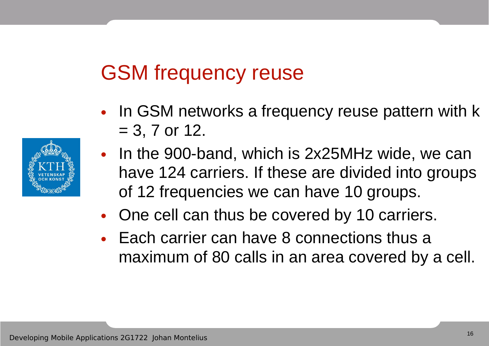### GSM frequency reuse

- In GSM networks a frequency reuse pattern with k  $= 3, 7$  or 12.
- In the 900-band, which is 2x25MHz wide, we can have 124 carriers. If these are divided into groups of 12 frequencies we can have 10 groups.
- One cell can thus be covered by 10 carriers.
- Each carrier can have 8 connections thus a maximum of 80 calls in an area covered by a cell.

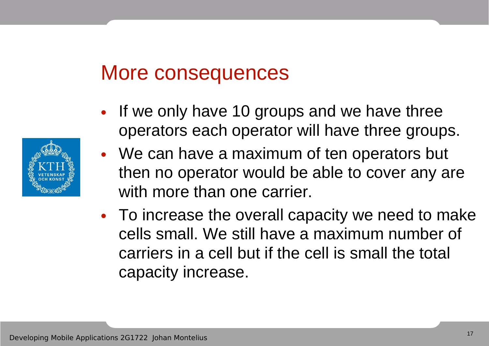### More consequences

- If we only have 10 groups and we have three operators each operator will have three groups.
- We can have a maximum of ten operators but then no operator would be able to cover any are with more than one carrier.
- To increase the overall capacity we need to make cells small. We still have a maximum number of carriers in a cell but if the cell is small the total capacity increase.

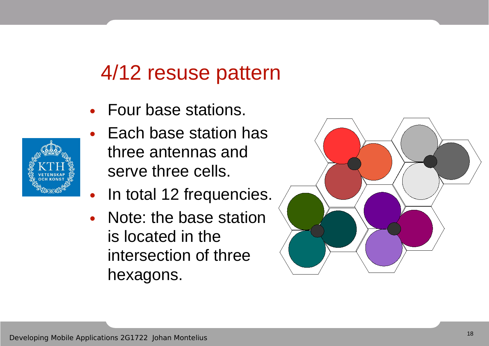### 4/12 resuse pattern

- Four base stations.
- Each base station has three antennas and serve three cells.
- In total 12 frequencies.
- Note: the base station is located in the intersection of three hexagons.



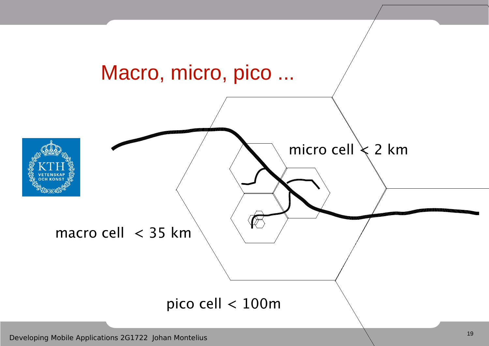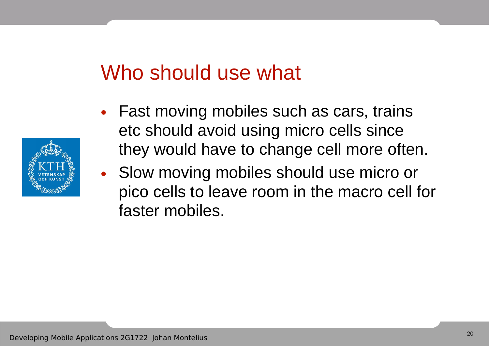### Who should use what

- Fast moving mobiles such as cars, trains etc should avoid using micro cells since they would have to change cell more often.
- Slow moving mobiles should use micro or pico cells to leave room in the macro cell for faster mobiles.

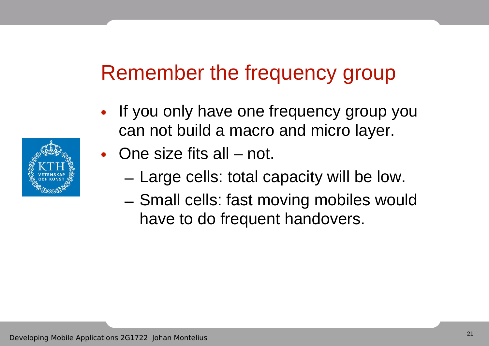### Remember the frequency group

- If you only have one frequency group you can not build a macro and micro layer.
- One size fits all not.
	- Large cells: total capacity will be low.
	- Small cells: fast moving mobiles would have to do frequent handovers.

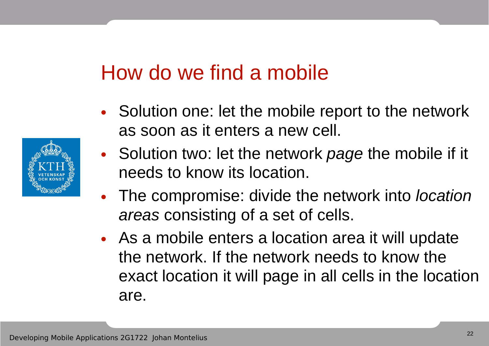### How do we find a mobile

- Solution one: let the mobile report to the network as soon as it enters a new cell.
- Solution two: let the network page the mobile if it needs to know its location.
- The compromise: divide the network into *location* areas consisting of a set of cells.
- As a mobile enters a location area it will update the network. If the network needs to know the exact location it will page in all cells in the location are.

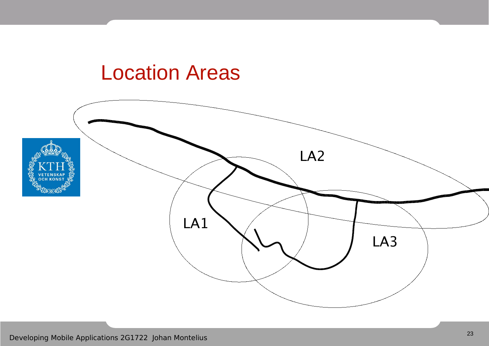### Location Areas